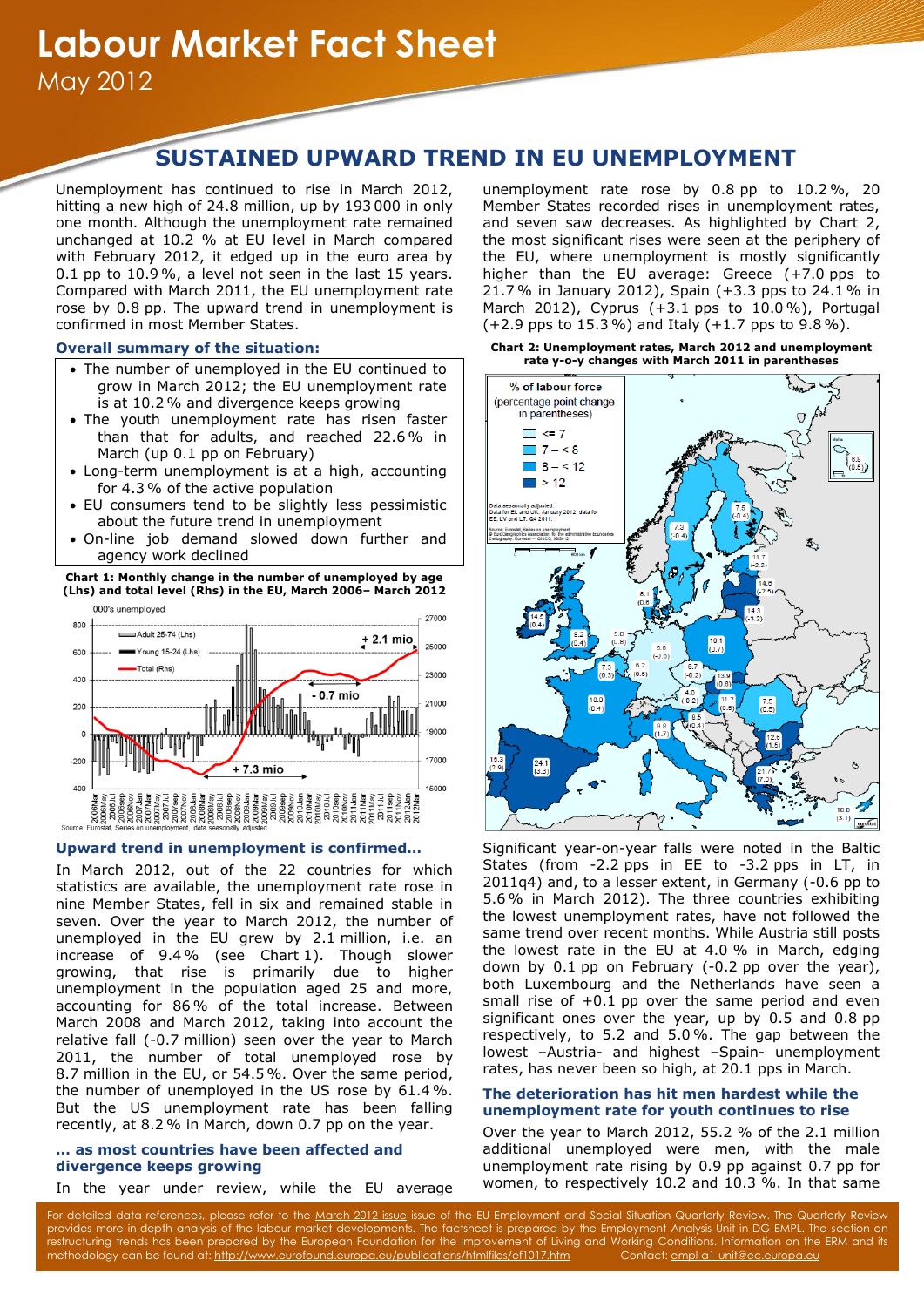# **SUSTAINED UPWARD TREND IN EU UNEMPLOYMENT**

Unemployment has continued to rise in March 2012, hitting a new high of 24.8 million, up by 193 000 in only one month. Although the unemployment rate remained unchanged at 10.2 % at EU level in March compared with February 2012, it edged up in the euro area by 0.1 pp to 10.9 %, a level not seen in the last 15 years. Compared with March 2011, the EU unemployment rate rose by 0.8 pp. The upward trend in unemployment is confirmed in most Member States.

## **Overall summary of the situation:**

- The number of unemployed in the EU continued to grow in March 2012; the EU unemployment rate is at 10.2 % and divergence keeps growing
- The youth unemployment rate has risen faster than that for adults, and reached 22.6% in March (up 0.1 pp on February)
- Long-term unemployment is at a high, accounting for 4.3% of the active population
- EU consumers tend to be slightly less pessimistic about the future trend in unemployment
- On-line job demand slowed down further and agency work declined

## **Chart 1: Monthly change in the number of unemployed by age (Lhs) and total level (Rhs) in the EU, March 2006– March 2012**



#### **Upward trend in unemployment is confirmed…**

In March 2012, out of the 22 countries for which statistics are available, the unemployment rate rose in nine Member States, fell in six and remained stable in seven. Over the year to March 2012, the number of unemployed in the EU grew by 2.1 million, i.e. an increase of 9.4 % (see Chart 1). Though slower growing, that rise is primarily due to higher unemployment in the population aged 25 and more, accounting for 86% of the total increase. Between March 2008 and March 2012, taking into account the relative fall (-0.7 million) seen over the year to March 2011, the number of total unemployed rose by 8.7 million in the EU, or 54.5 %. Over the same period, the number of unemployed in the US rose by 61.4 %. But the US unemployment rate has been falling recently, at 8.2% in March, down 0.7 pp on the year.

## **… as most countries have been affected and divergence keeps growing**

In the year under review, while the EU average

unemployment rate rose by 0.8 pp to 10.2 %, 20 Member States recorded rises in unemployment rates, and seven saw decreases. As highlighted by Chart 2, the most significant rises were seen at the periphery of the EU, where unemployment is mostly significantly higher than the EU average: Greece (+7.0 pps to 21.7 % in January 2012), Spain (+3.3 pps to 24.1% in March 2012), Cyprus (+3.1 pps to 10.0 %), Portugal (+2.9 pps to 15.3 %) and Italy (+1.7 pps to 9.8 %).

**Chart 2: Unemployment rates, March 2012 and unemployment rate y-o-y changes with March 2011 in parentheses**



Significant year-on-year falls were noted in the Baltic States (from -2.2 pps in EE to -3.2 pps in LT, in 2011q4) and, to a lesser extent, in Germany (-0.6 pp to 5.6% in March 2012). The three countries exhibiting the lowest unemployment rates, have not followed the same trend over recent months. While Austria still posts the lowest rate in the EU at 4.0 % in March, edging down by 0.1 pp on February (-0.2 pp over the year), both Luxembourg and the Netherlands have seen a small rise of  $+0.1$  pp over the same period and even significant ones over the year, up by 0.5 and 0.8 pp respectively, to 5.2 and 5.0 %. The gap between the lowest –Austria- and highest –Spain- unemployment rates, has never been so high, at 20.1 pps in March.

# **The deterioration has hit men hardest while the unemployment rate for youth continues to rise**

Over the year to March 2012, 55.2 % of the 2.1 million additional unemployed were men, with the male unemployment rate rising by 0.9 pp against 0.7 pp for women, to respectively 10.2 and 10.3 %. In that same

For detailed data references, please refer to the [March 2012 issue](http://ec.europa.eu/social/main.jsp?langId=en&catId=113&newsId=1255&furtherNews=yes) issue of the EU Employment and Social Situation Quarterly Review. The Quarterly Review provides more in-depth analysis of the labour market developments. The factsheet is prepared by the Employment Analysis Unit in DG EMPL. The section on restructuring trends has been prepared by the European Foundation for the Improvement of Living and Working Conditions. Information on the ERM and its methodology can be found at[: http://www.eurofound.europa.eu/publications/htmlfiles/ef1017.htm](http://www.eurofound.europa.eu/publications/htmlfiles/ef1017.htm) Contact[: empl-a1-unit@ec.europa.eu](mailto:empl-a1-unit@ec.europa.eu)